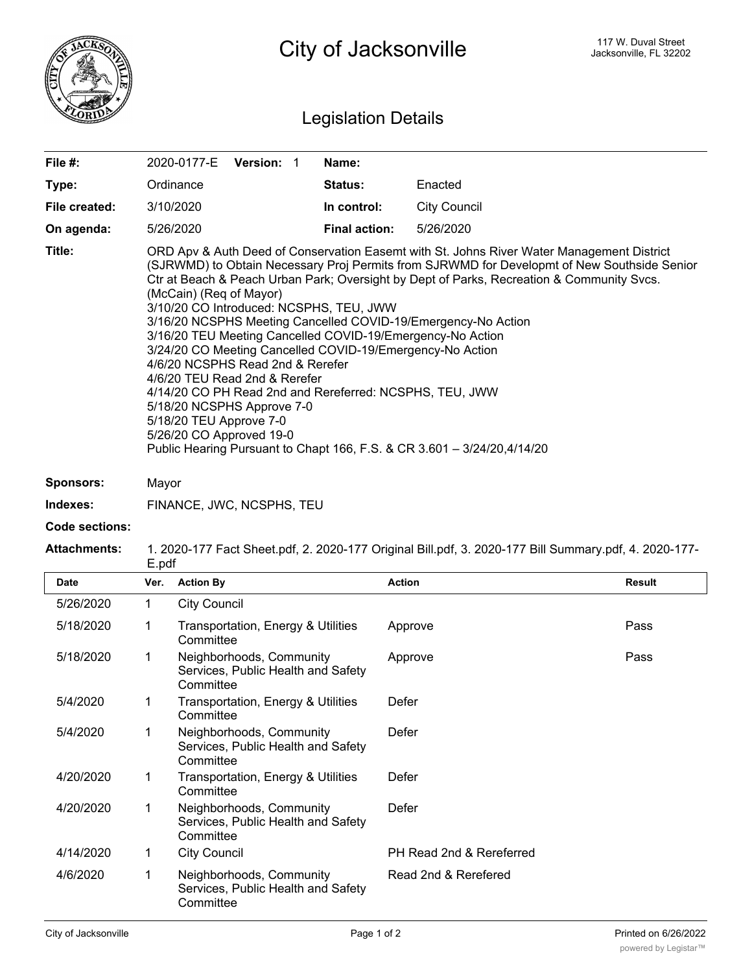

## Legislation Details

| File #:               |                                                                                                                                                                                                                                                                                                                                                                                                                                                                                                                                                                                                                                                                                                                                                                                                                                                         | 2020-0177-E                                     | Version: 1                                                     |  | Name:                |                          |        |  |
|-----------------------|---------------------------------------------------------------------------------------------------------------------------------------------------------------------------------------------------------------------------------------------------------------------------------------------------------------------------------------------------------------------------------------------------------------------------------------------------------------------------------------------------------------------------------------------------------------------------------------------------------------------------------------------------------------------------------------------------------------------------------------------------------------------------------------------------------------------------------------------------------|-------------------------------------------------|----------------------------------------------------------------|--|----------------------|--------------------------|--------|--|
| Type:                 |                                                                                                                                                                                                                                                                                                                                                                                                                                                                                                                                                                                                                                                                                                                                                                                                                                                         | Ordinance                                       |                                                                |  | Status:              | Enacted                  |        |  |
| File created:         |                                                                                                                                                                                                                                                                                                                                                                                                                                                                                                                                                                                                                                                                                                                                                                                                                                                         | 3/10/2020                                       |                                                                |  | In control:          | <b>City Council</b>      |        |  |
| On agenda:            |                                                                                                                                                                                                                                                                                                                                                                                                                                                                                                                                                                                                                                                                                                                                                                                                                                                         | 5/26/2020                                       |                                                                |  | <b>Final action:</b> | 5/26/2020                |        |  |
| Title:                | ORD Apv & Auth Deed of Conservation Easemt with St. Johns River Water Management District<br>(SJRWMD) to Obtain Necessary Proj Permits from SJRWMD for Developmt of New Southside Senior<br>Ctr at Beach & Peach Urban Park; Oversight by Dept of Parks, Recreation & Community Svcs.<br>(McCain) (Req of Mayor)<br>3/10/20 CO Introduced: NCSPHS, TEU, JWW<br>3/16/20 NCSPHS Meeting Cancelled COVID-19/Emergency-No Action<br>3/16/20 TEU Meeting Cancelled COVID-19/Emergency-No Action<br>3/24/20 CO Meeting Cancelled COVID-19/Emergency-No Action<br>4/6/20 NCSPHS Read 2nd & Rerefer<br>4/6/20 TEU Read 2nd & Rerefer<br>4/14/20 CO PH Read 2nd and Rereferred: NCSPHS, TEU, JWW<br>5/18/20 NCSPHS Approve 7-0<br>5/18/20 TEU Approve 7-0<br>5/26/20 CO Approved 19-0<br>Public Hearing Pursuant to Chapt 166, F.S. & CR 3.601 - 3/24/20,4/14/20 |                                                 |                                                                |  |                      |                          |        |  |
| <b>Sponsors:</b>      | Mayor                                                                                                                                                                                                                                                                                                                                                                                                                                                                                                                                                                                                                                                                                                                                                                                                                                                   |                                                 |                                                                |  |                      |                          |        |  |
| Indexes:              |                                                                                                                                                                                                                                                                                                                                                                                                                                                                                                                                                                                                                                                                                                                                                                                                                                                         | FINANCE, JWC, NCSPHS, TEU                       |                                                                |  |                      |                          |        |  |
| <b>Code sections:</b> |                                                                                                                                                                                                                                                                                                                                                                                                                                                                                                                                                                                                                                                                                                                                                                                                                                                         |                                                 |                                                                |  |                      |                          |        |  |
| <b>Attachments:</b>   | 1. 2020-177 Fact Sheet.pdf, 2. 2020-177 Original Bill.pdf, 3. 2020-177 Bill Summary.pdf, 4. 2020-177-<br>E.pdf                                                                                                                                                                                                                                                                                                                                                                                                                                                                                                                                                                                                                                                                                                                                          |                                                 |                                                                |  |                      |                          |        |  |
| Date                  | Ver.                                                                                                                                                                                                                                                                                                                                                                                                                                                                                                                                                                                                                                                                                                                                                                                                                                                    | <b>Action By</b>                                |                                                                |  |                      | <b>Action</b>            | Result |  |
| 5/26/2020             | $\mathbf{1}$                                                                                                                                                                                                                                                                                                                                                                                                                                                                                                                                                                                                                                                                                                                                                                                                                                            | <b>City Council</b>                             |                                                                |  |                      |                          |        |  |
| 5/18/2020             | 1                                                                                                                                                                                                                                                                                                                                                                                                                                                                                                                                                                                                                                                                                                                                                                                                                                                       | Transportation, Energy & Utilities<br>Committee |                                                                |  |                      | Approve                  | Pass   |  |
| 5/18/2020             | $\mathbf 1$                                                                                                                                                                                                                                                                                                                                                                                                                                                                                                                                                                                                                                                                                                                                                                                                                                             | Committee                                       | Neighborhoods, Community<br>Services, Public Health and Safety |  |                      | Approve                  | Pass   |  |
| 5/4/2020              | 1                                                                                                                                                                                                                                                                                                                                                                                                                                                                                                                                                                                                                                                                                                                                                                                                                                                       | Committee                                       | Transportation, Energy & Utilities                             |  |                      | Defer                    |        |  |
| 5/4/2020              | $\mathbf 1$                                                                                                                                                                                                                                                                                                                                                                                                                                                                                                                                                                                                                                                                                                                                                                                                                                             | Committee                                       | Neighborhoods, Community<br>Services, Public Health and Safety |  |                      | Defer                    |        |  |
| 4/20/2020             | 1                                                                                                                                                                                                                                                                                                                                                                                                                                                                                                                                                                                                                                                                                                                                                                                                                                                       | Committee                                       | Transportation, Energy & Utilities                             |  |                      | Defer                    |        |  |
| 4/20/2020             | 1                                                                                                                                                                                                                                                                                                                                                                                                                                                                                                                                                                                                                                                                                                                                                                                                                                                       | Committee                                       | Neighborhoods, Community<br>Services, Public Health and Safety |  |                      | Defer                    |        |  |
| 4/14/2020             |                                                                                                                                                                                                                                                                                                                                                                                                                                                                                                                                                                                                                                                                                                                                                                                                                                                         |                                                 |                                                                |  |                      |                          |        |  |
|                       | 1                                                                                                                                                                                                                                                                                                                                                                                                                                                                                                                                                                                                                                                                                                                                                                                                                                                       | <b>City Council</b>                             |                                                                |  |                      | PH Read 2nd & Rereferred |        |  |